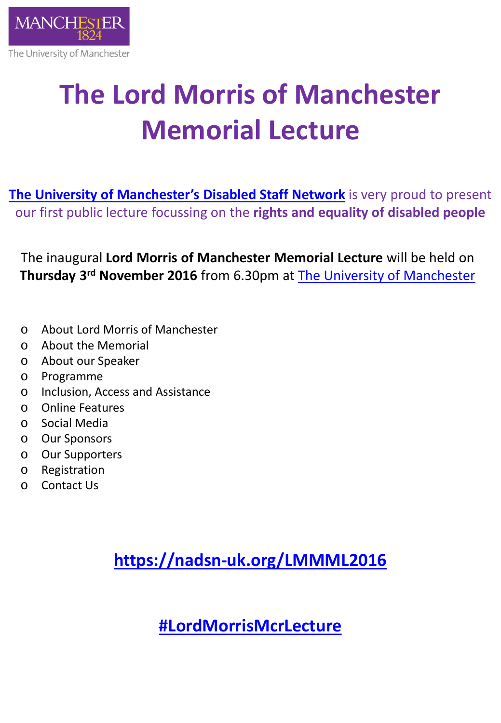

# **The Lord Morris of Manchester Memorial Lecture**

**[The University of Manchester's Disabled Staff Network](http://www.staffnet.manchester.ac.uk/equality-and-diversity/staff-network/disabled-staff-network-group/)** is very proud to present our first public lecture focussing on the **rights and equality of disabled people**

The inaugural **Lord Morris of Manchester Memorial Lecture** will be held on **Thursday 3rd November 2016** from 6.30pm at [The University of Manchester](http://www.manchester.ac.uk/)

- o About Lord Morris of Manchester
- o About the Memorial
- o About our Speaker
- o Programme
- o Inclusion, Access and Assistance
- o Online Features
- o Social Media
- o Our Sponsors
- o Our Supporters
- o Registration
- o Contact Us

**<https://nadsn-uk.org/LMMML2016>**

**[#LordMorrisMcrLecture](https://twitter.com/hashtag/LordMorrisMcrLecture)**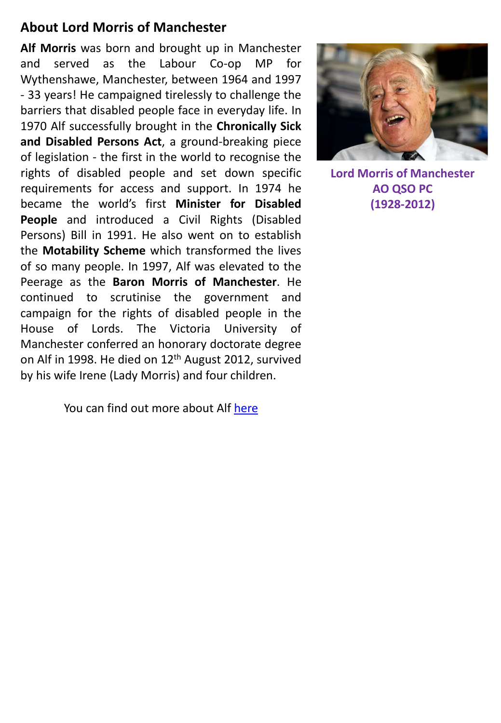#### **About Lord Morris of Manchester**

**Alf Morris** was born and brought up in Manchester and served as the Labour Co-op MP for Wythenshawe, Manchester, between 1964 and 1997 - 33 years! He campaigned tirelessly to challenge the barriers that disabled people face in everyday life. In 1970 Alf successfully brought in the **Chronically Sick and Disabled Persons Act**, a ground-breaking piece of legislation - the first in the world to recognise the rights of disabled people and set down specific requirements for access and support. In 1974 he became the world's first **Minister for Disabled People** and introduced a Civil Rights (Disabled Persons) Bill in 1991. He also went on to establish the **Motability Scheme** which transformed the lives of so many people. In 1997, Alf was elevated to the Peerage as the **Baron Morris of Manchester**. He continued to scrutinise the government and campaign for the rights of disabled people in the House of Lords. The Victoria University of Manchester conferred an honorary doctorate degree on Alf in 1998. He died on 12<sup>th</sup> August 2012, survived by his wife Irene (Lady Morris) and four children.

You can find out more about Alf [here](http://www.theguardian.com/politics/2012/aug/14/lord-morris-of-manchester)



**Lord Morris of Manchester AO QSO PC (1928-2012)**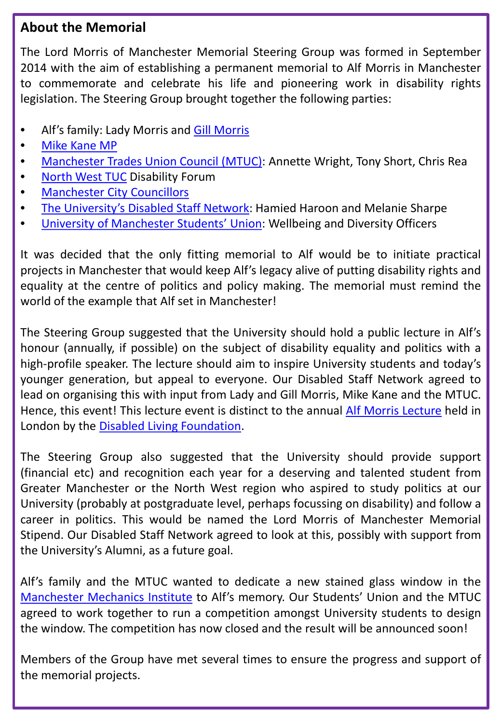#### **About the Memorial**

The Lord Morris of Manchester Memorial Steering Group was formed in September 2014 with the aim of establishing a permanent memorial to Alf Morris in Manchester to commemorate and celebrate his life and pioneering work in disability rights legislation. The Steering Group brought together the following parties:

- Alf's family: Lady [Morris](http://www.publicaffairsnetworking.com/profile/gill-morris) and Gill Morris
- Mike [Kane](http://www.mikekane.org/about_mike) MP
- [Manchester](https://mtuc.wordpress.com/) Trades Union Council (MTUC): Annette Wright, Tony Short, Chris Rea
- [North](https://www.tuc.org.uk/north-west) West TUC Disability Forum
- [Manchester](http://www.manchester.gov.uk/) City Councillors
- The [University's](http://www.staffnet.manchester.ac.uk/equality-and-diversity/staff-network/disabled-staff-network-group/) Disabled Staff Network: Hamied Haroon and Melanie Sharpe
- University of [Manchester](http://manchesterstudentsunion.com/aboutus) Students' Union: Wellbeing and Diversity Officers

It was decided that the only fitting memorial to Alf would be to initiate practical projects in Manchester that would keep Alf's legacy alive of putting disability rights and equality at the centre of politics and policy making. The memorial must remind the world of the example that Alf set in Manchester!

The Steering Group suggested that the University should hold a public lecture in Alf's honour (annually, if possible) on the subject of disability equality and politics with a high-profile speaker. The lecture should aim to inspire University students and today's younger generation, but appeal to everyone. Our Disabled Staff Network agreed to lead on organising this with input from Lady and Gill Morris, Mike Kane and the MTUC. Hence, this event! This lecture event is distinct to the annual Alf Morris [Lecture](http://www.dlf.org.uk/support-us/alf-morris-lecture) held in London by the Disabled Living [Foundation](http://www.dlf.org.uk/).

The Steering Group also suggested that the University should provide support (financial etc) and recognition each year for a deserving and talented student from Greater Manchester or the North West region who aspired to study politics at our University (probably at postgraduate level, perhaps focussing on disability) and follow a career in politics. This would be named the Lord Morris of Manchester Memorial Stipend. Our Disabled Staff Network agreed to look at this, possibly with support from the University's Alumni, as a future goal.

Alf's family and the MTUC wanted to dedicate a new stained glass window in the [Manchester](https://en.wikipedia.org/wiki/Mechanics) Mechanics Institute to Alf's memory. Our Students' Union and the MTUC agreed to work together to run a competition amongst University students to design the window. The competition has now closed and the result will be announced soon!

Members of the Group have met several times to ensure the progress and support of the memorial projects.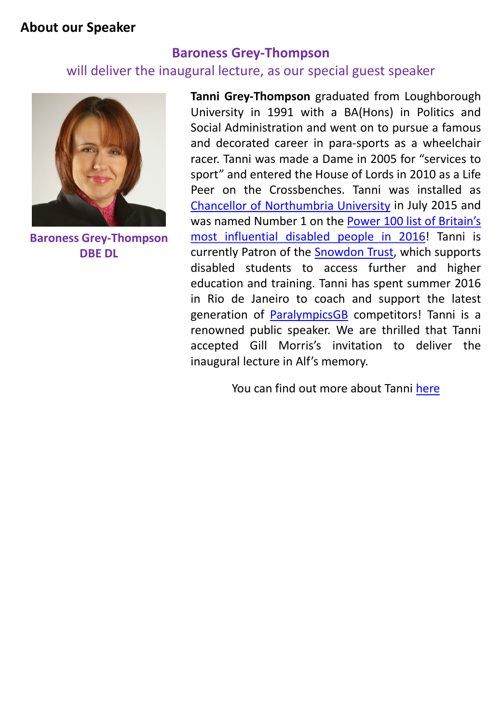#### **About our Speaker**

#### **Baroness Grey-Thompson**

#### will deliver the inaugural lecture, as our special guest speaker



**Baroness Grey-Thompson DBE DL**

**Tanni Grey-Thompson** graduated from Loughborough University in 1991 with a BA(Hons) in Politics and Social Administration and went on to pursue a famous and decorated career in para-sports as a wheelchair racer. Tanni was made a Dame in 2005 for "services to sport" and entered the House of Lords in 2010 as a Life Peer on the Crossbenches. Tanni was installed as Chancellor of [Northumbria](https://www.northumbria.ac.uk/about-us/news-events/news/2015/06/paralympic-champion-named-as-chancellor/) University in July 2015 and was named Number 1 on the Power 100 list of [Britain's](http://posabilitymagazine.co.uk/top-100-disabled-people-named-in-power-100-list/) most [influential](http://posabilitymagazine.co.uk/top-100-disabled-people-named-in-power-100-list/) disabled people in 2016! Tanni is currently Patron of the [Snowdon](https://www.snowdontrust.org/about-us/our-patron/) Trust, which supports disabled students to access further and higher education and training. Tanni has spent summer 2016 in Rio de Janeiro to coach and support the latest generation of [ParalympicsGB](http://www.paralympics.org.uk/gb/) competitors! Tanni is a renowned public speaker. We are thrilled that Tanni accepted Gill Morris's invitation to deliver the inaugural lecture in Alf's memory.

You can find out more about Tanni [here](http://www.tanni.co.uk/)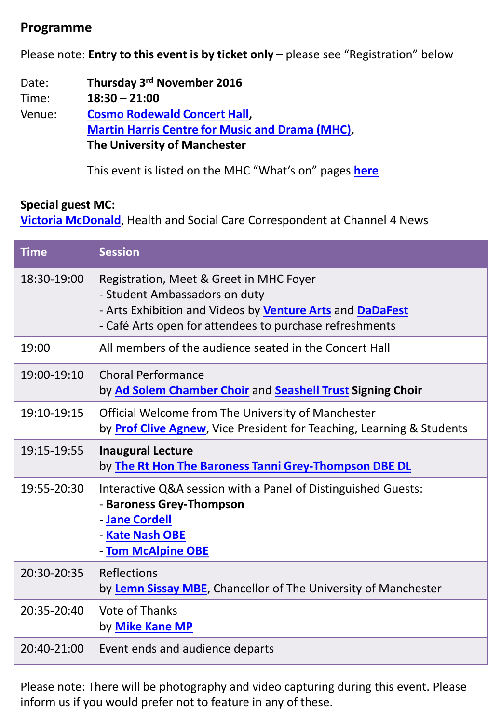#### **Programme**

Please note: **Entry to this event is by ticket only** – please see "Registration" below

Date: **Thursday 3rd November 2016** Time: **18:30 – 21:00** Venue: **Cosmo [Rodewald](http://www.martinharriscentre.manchester.ac.uk/about-us/performance-spaces/cosmo-rodewald-concert-hall/) Concert Hall, [Martin](http://www.martinharriscentre.manchester.ac.uk/) Harris Centre for Music and Drama (MHC), The University of Manchester**

This event is listed on the MHC "What's on" pages **[here](http://www.martinharriscentre.manchester.ac.uk/whats-on/eventdetails/?eid=even:dld-iqwdvcgi-uiza9g)**

#### **Special guest MC:**

**[Victoria McDonald](http://www.channel4.com/news/victoria-macdonald)**, Health and Social Care Correspondent at Channel 4 News

| <b>Time</b> | <b>Session</b>                                                                                                                                                                                                 |
|-------------|----------------------------------------------------------------------------------------------------------------------------------------------------------------------------------------------------------------|
| 18:30-19:00 | Registration, Meet & Greet in MHC Foyer<br>- Student Ambassadors on duty<br>- Arts Exhibition and Videos by <b>Venture Arts</b> and <b>DaDaFest</b><br>- Café Arts open for attendees to purchase refreshments |
| 19:00       | All members of the audience seated in the Concert Hall                                                                                                                                                         |
| 19:00-19:10 | <b>Choral Performance</b><br>by Ad Solem Chamber Choir and Seashell Trust Signing Choir                                                                                                                        |
| 19:10-19:15 | Official Welcome from The University of Manchester<br>by <b>Prof Clive Agnew</b> , Vice President for Teaching, Learning & Students                                                                            |
| 19:15-19:55 | <b>Inaugural Lecture</b><br>by The Rt Hon The Baroness Tanni Grey-Thompson DBE DL                                                                                                                              |
| 19:55-20:30 | Interactive Q&A session with a Panel of Distinguished Guests:<br>- Baroness Grey-Thompson<br>- Jane Cordell<br>- Kate Nash OBE<br>- Tom McAlpine OBE                                                           |
| 20:30-20:35 | Reflections<br>by Lemn Sissay MBE, Chancellor of The University of Manchester                                                                                                                                  |
| 20:35-20:40 | Vote of Thanks<br>by Mike Kane MP                                                                                                                                                                              |
| 20:40-21:00 | Event ends and audience departs                                                                                                                                                                                |

Please note: There will be photography and video capturing during this event. Please inform us if you would prefer not to feature in any of these.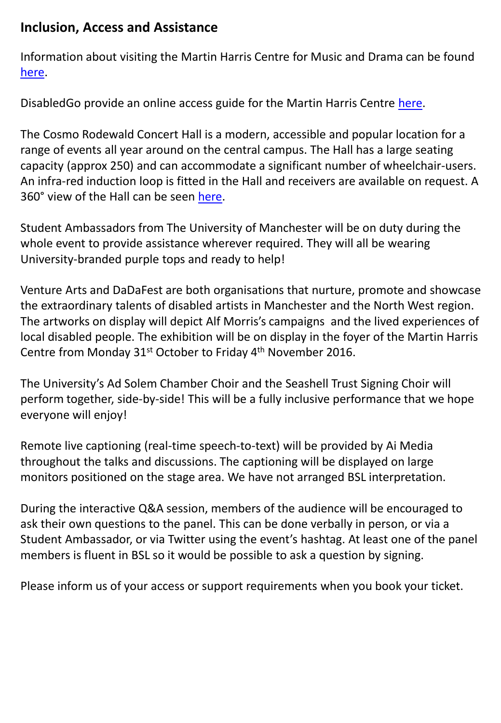#### **Inclusion, Access and Assistance**

Information about visiting the Martin Harris Centre for Music and Drama can be found [here.](http://www.martinharriscentre.manchester.ac.uk/your-visit/)

DisabledGo provide an online access guide for the Martin Harris Centre [here](http://www.disabledgo.com/access-guide/the-university-of-manchester/martin-harris-centre-for-music-and-drama-2).

The Cosmo Rodewald Concert Hall is a modern, accessible and popular location for a range of events all year around on the central campus. The Hall has a large seating capacity (approx 250) and can accommodate a significant number of wheelchair-users. An infra-red induction loop is fitted in the Hall and receivers are available on request. A 360° view of the Hall can be seen [here](http://www.martinharriscentre.manchester.ac.uk/about-us/performance-spaces/cosmo-rodewald-concert-hall/).

Student Ambassadors from The University of Manchester will be on duty during the whole event to provide assistance wherever required. They will all be wearing University-branded purple tops and ready to help!

Venture Arts and DaDaFest are both organisations that nurture, promote and showcase the extraordinary talents of disabled artists in Manchester and the North West region. The artworks on display will depict Alf Morris's campaigns and the lived experiences of local disabled people. The exhibition will be on display in the foyer of the Martin Harris Centre from Monday 31<sup>st</sup> October to Friday 4<sup>th</sup> November 2016.

The University's Ad Solem Chamber Choir and the Seashell Trust Signing Choir will perform together, side-by-side! This will be a fully inclusive performance that we hope everyone will enjoy!

Remote live captioning (real-time speech-to-text) will be provided by Ai Media throughout the talks and discussions. The captioning will be displayed on large monitors positioned on the stage area. We have not arranged BSL interpretation.

During the interactive Q&A session, members of the audience will be encouraged to ask their own questions to the panel. This can be done verbally in person, or via a Student Ambassador, or via Twitter using the event's hashtag. At least one of the panel members is fluent in BSL so it would be possible to ask a question by signing.

Please inform us of your access or support requirements when you book your ticket.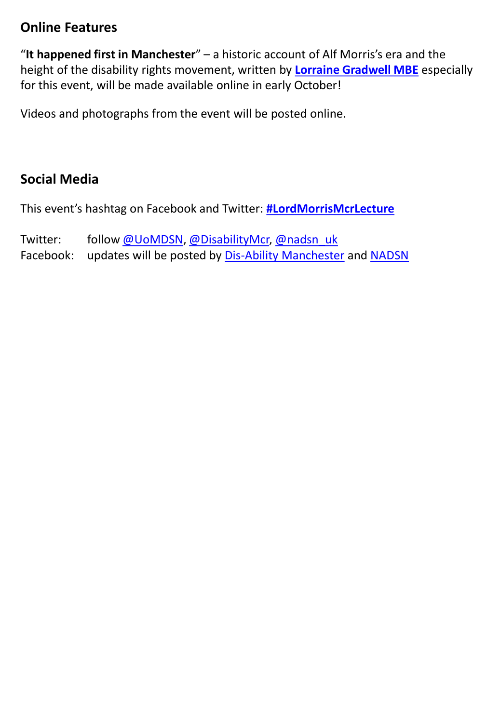#### **Online Features**

"**It happened first in Manchester**" – a historic account of Alf Morris's era and the height of the disability rights movement, written by **[Lorraine Gradwell](http://gemmanashartist.com/disability/in-discussion-with-disability-rights-pioneer-lorraine-gradwell-mbe/) [MBE](http://gemmanashartist.com/disability/in-discussion-with-disability-rights-pioneer-lorraine-gradwell-mbe/)** especially for this event, will be made available online in early October!

Videos and photographs from the event will be posted online.

## **Social Media**

This event's hashtag on Facebook and Twitter: **[#LordMorrisMcrLecture](https://twitter.com/hashtag/LordMorrisMcrLecture)**

Twitter: follow [@UoMDSN,](https://twitter.com/UoMDSN) [@DisabilityMcr](https://twitter.com/DisabilityMcr), [@nadsn\\_uk](https://twitter.com/nadsn_uk) Facebook: updates will be posted by [Dis-Ability Manchester](https://www.facebook.com/DisAbilityMcr) and [NADSN](https://www.facebook.com/NatAssDSN)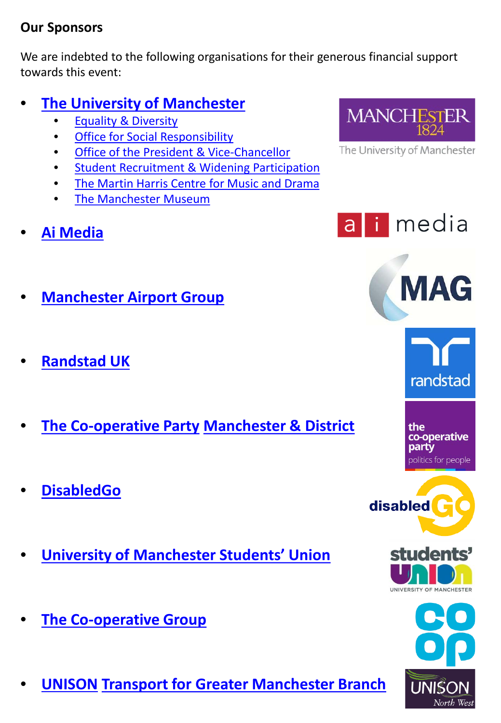### **Our Sponsors**

We are indebted to the following organisations for their generous financial support towards this event:

# • **[The University of Manchester](http://www.manchester.ac.uk/)**

- [Equality & Diversity](http://www.staffnet.manchester.ac.uk/equality-and-diversity/)
- **[Office for Social Responsibility](http://www.socialresponsibility.manchester.ac.uk/)**
- [Office of the President & Vice-Chancellor](http://www.manchester.ac.uk/discover/people/senior-officer-profiles/)
- [Student Recruitment & Widening Participation](http://www.raid.manchester.ac.uk/)
- [The Martin Harris Centre for Music and Drama](http://www.martinharriscentre.manchester.ac.uk/about-us/)
- [The Manchester Museum](http://www.museum.manchester.ac.uk/)
- **[Ai Media](http://www.ai-media.tv/pages/about-us/)**





- **[Manchester Airport Group](http://www.magworld.co.uk/magweb.nsf/Content/AboutUsAndOurAirports)**
- **[Randstad UK](https://www.randstad.co.uk/about-us/)**
- **[The Co-operative Party](https://party.coop/) [Manchester & District](https://party.coop/tag/manchester/)**
- **[DisabledGo](http://www.disabledgo.com/about-us)**
- **[University of Manchester Students' Union](http://manchesterstudentsunion.com/aboutus)**
- **[The Co-operative Group](http://www.coop.co.uk/corporate/aboutus/)**
- **[UNISON](https://www.unison.org.uk/) [Transport for Greater Manchester Branch](http://www.unisonnw.org/branches)**



MAG







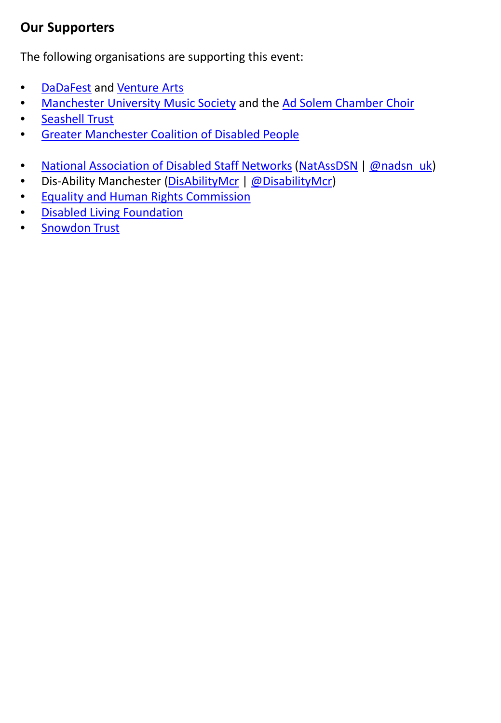## **Our Supporters**

The following organisations are supporting this event:

- [DaDaFest](http://www.dadafest.co.uk/about-us/) and [Venture Arts](http://www.venturearts.org/#about-us)
- [Manchester University Music Society](https://www.mumusicsociety.co.uk/about) and the Ad Solem [Chamber Choir](https://www.mumusicsociety.co.uk/adsolem)
- [Seashell Trust](http://www.seashelltrust.org.uk/about)
- [Greater Manchester Coalition of Disabled People](http://gmcdp.com/)
- [National Association of Disabled Staff Networks](https://nadsn-uk.org/) [\(NatAssDSN](https://www.facebook.com/NatAssDSN) | [@nadsn\\_uk\)](https://twitter.com/nadsn_uk)
- Dis-Ability Manchester [\(DisAbilityMcr](https://www.facebook.com/DisAbilityMcr/) | [@DisabilityMcr](https://twitter.com/DisabilityMcr))
- [Equality and Human Rights Commission](https://www.equalityhumanrights.com/en/about-us)
- [Disabled Living Foundation](http://www.dlf.org.uk/content/about-us)
- [Snowdon Trust](https://www.snowdontrust.org/about-us/)